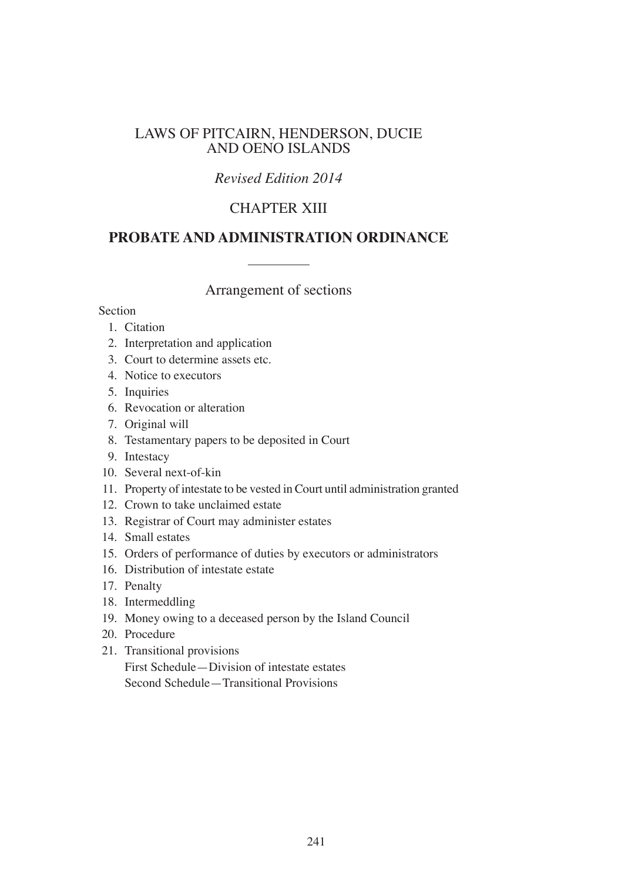## LAWS OF PITCAIRN, HENDERSON, DUCIE AND OENO ISLANDS

## *Revised Edition 2014*

## CHAPTER XIII

## **PROBATE AND ADMINISTRATION ORDINANCE**

Arrangement of sections

Section

- 1. Citation
- 2. Interpretation and application
- 3. Court to determine assets etc.
- 4. Notice to executors
- 5. Inquiries
- 6. Revocation or alteration
- 7. Original will
- 8. Testamentary papers to be deposited in Court
- 9. Intestacy
- 10. Several next-of-kin
- 11. Property of intestate to be vested in Court until administration granted
- 12. Crown to take unclaimed estate
- 13. Registrar of Court may administer estates
- 14. Small estates
- 15. Orders of performance of duties by executors or administrators
- 16. Distribution of intestate estate
- 17. Penalty
- 18. Intermeddling
- 19. Money owing to a deceased person by the Island Council
- 20. Procedure
- 21. Transitional provisions
	- First Schedule—Division of intestate estates Second Schedule—Transitional Provisions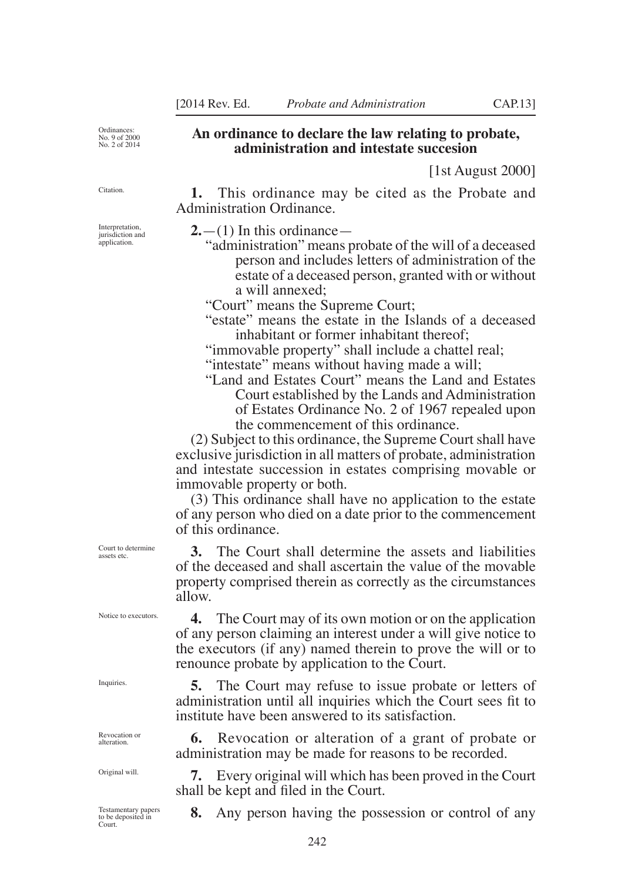Ordinances: No. 9 of 2000 No. 2 of 2014

**Citation** 

Interpretation, jurisdiction and application.

#### **An ordinance to declare the law relating to probate, administration and intestate succesion**

[1st August 2000]

**1.** This ordinance may be cited as the Probate and Administration Ordinance.

**2.**—(1) In this ordinance—

- "administration" means probate of the will of a deceased person and includes letters of administration of the estate of a deceased person, granted with or without a will annexed;
- "Court" means the Supreme Court;
- "estate" means the estate in the Islands of a deceased inhabitant or former inhabitant thereof;

"immovable property" shall include a chattel real; "intestate" means without having made a will;

"Land and Estates Court" means the Land and Estates Court established by the Lands and Administration of Estates Ordinance No. 2 of 1967 repealed upon the commencement of this ordinance.

(2) Subject to this ordinance, the Supreme Court shall have exclusive jurisdiction in all matters of probate, administration and intestate succession in estates comprising movable or immovable property or both.

(3) This ordinance shall have no application to the estate of any person who died on a date prior to the commencement of this ordinance.

**3.** The Court shall determine the assets and liabilities of the deceased and shall ascertain the value of the movable property comprised therein as correctly as the circumstances allow.

**4.** The Court may of its own motion or on the application of any person claiming an interest under a will give notice to the executors (if any) named therein to prove the will or to renounce probate by application to the Court.

**5.** The Court may refuse to issue probate or letters of administration until all inquiries which the Court sees fit to institute have been answered to its satisfaction.

**6.** Revocation or alteration of a grant of probate or administration may be made for reasons to be recorded.

**7.** Every original will which has been proved in the Court shall be kept and filed in the Court.

**8.** Any person having the possession or control of any

Court to determine assets etc.

Notice to executors.

Inquiries.

Revocation or alteration.

Original will.

Testamentary papers to be deposited in Court.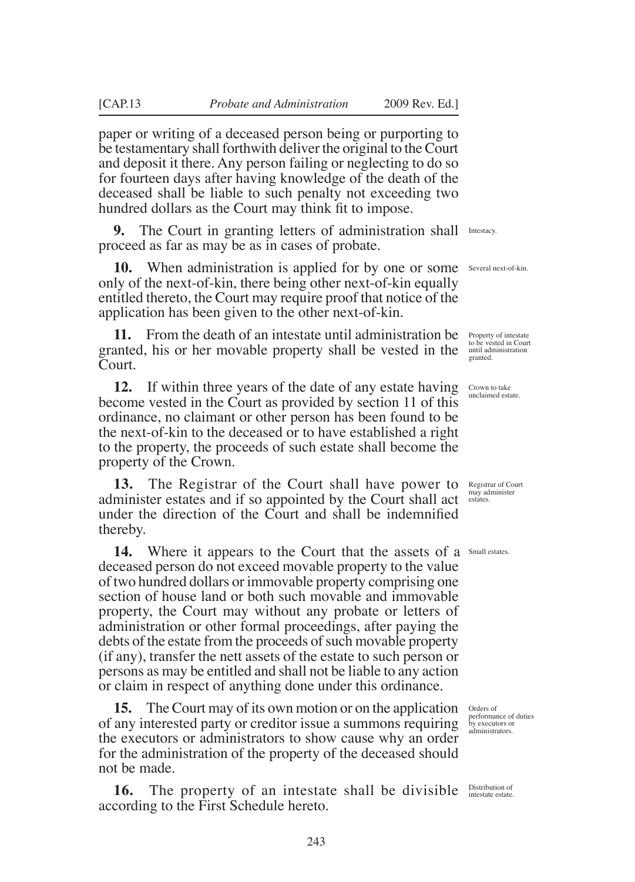paper or writing of a deceased person being or purporting to be testamentary shall forthwith deliver the original to the Court and deposit it there. Any person failing or neglecting to do so for fourteen days after having knowledge of the death of the deceased shall be liable to such penalty not exceeding two hundred dollars as the Court may think fit to impose.

**9.** The Court in granting letters of administration shall Intestacy. proceed as far as may be as in cases of probate.

**10.** When administration is applied for by one or some Several next-of-kin. only of the next-of-kin, there being other next-of-kin equally entitled thereto, the Court may require proof that notice of the application has been given to the other next-of-kin.

**11.** From the death of an intestate until administration be **Property of intestate** granted, his or her movable property shall be vested in the Court.

**12.** If within three years of the date of any estate having become vested in the Court as provided by section 11 of this ordinance, no claimant or other person has been found to be the next-of-kin to the deceased or to have established a right to the property, the proceeds of such estate shall become the property of the Crown.

**13.** The Registrar of the Court shall have power to Registrar of Court administer estates and if so appointed by the Court shall act net determinister under the direction of the Court and shall be indemnified thereby.

14. Where it appears to the Court that the assets of a Small estates. deceased person do not exceed movable property to the value of two hundred dollars or immovable property comprising one section of house land or both such movable and immovable property, the Court may without any probate or letters of administration or other formal proceedings, after paying the debts of the estate from the proceeds of such movable property (if any), transfer the nett assets of the estate to such person or persons as may be entitled and shall not be liable to any action or claim in respect of anything done under this ordinance.

**15.** The Court may of its own motion or on the application orders of of any interested party or creditor issue a summons requiring the executors or administrators to show cause why an order for the administration of the property of the deceased should not be made.

**16.** The property of an intestate shall be divisible **Distribution of** according to the First Schedule hereto.

to be vested in Court until administration granted.

Crown to take unclaimed estate.

performance of duties by executors or administrators.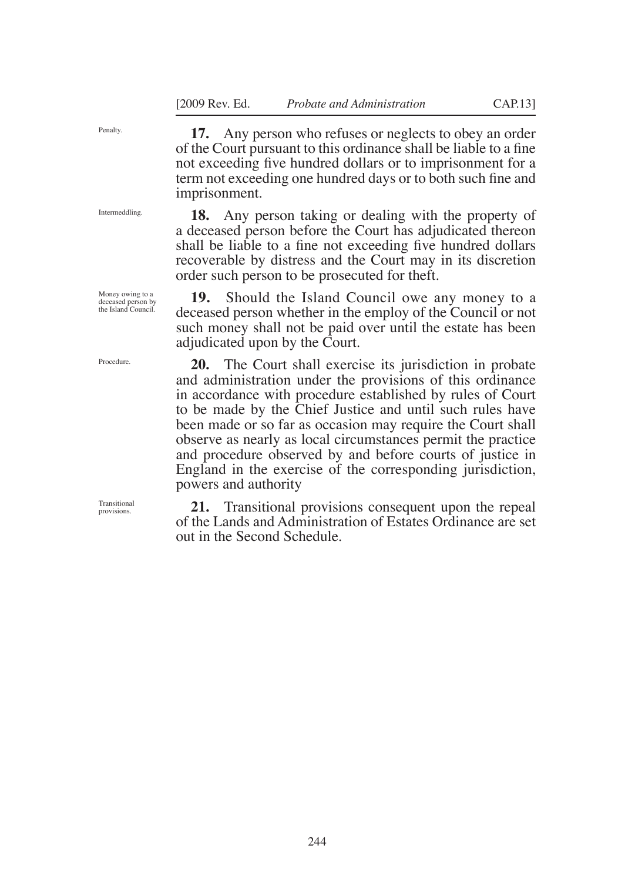Penalty.

Intermeddling.

**17.** Any person who refuses or neglects to obey an order of the Court pursuant to this ordinance shall be liable to a fine not exceeding five hundred dollars or to imprisonment for a term not exceeding one hundred days or to both such fine and imprisonment.

**18.** Any person taking or dealing with the property of a deceased person before the Court has adjudicated thereon shall be liable to a fine not exceeding five hundred dollars recoverable by distress and the Court may in its discretion order such person to be prosecuted for theft.

**19.** Should the Island Council owe any money to a deceased person whether in the employ of the Council or not such money shall not be paid over until the estate has been adjudicated upon by the Court.

**20.** The Court shall exercise its jurisdiction in probate and administration under the provisions of this ordinance in accordance with procedure established by rules of Court to be made by the Chief Justice and until such rules have been made or so far as occasion may require the Court shall observe as nearly as local circumstances permit the practice and procedure observed by and before courts of justice in England in the exercise of the corresponding jurisdiction, powers and authority

**21.** Transitional provisions consequent upon the repeal of the Lands and Administration of Estates Ordinance are set out in the Second Schedule.

Money owing to a deceased person by the Island Council.

Procedure.

Transitional provisions.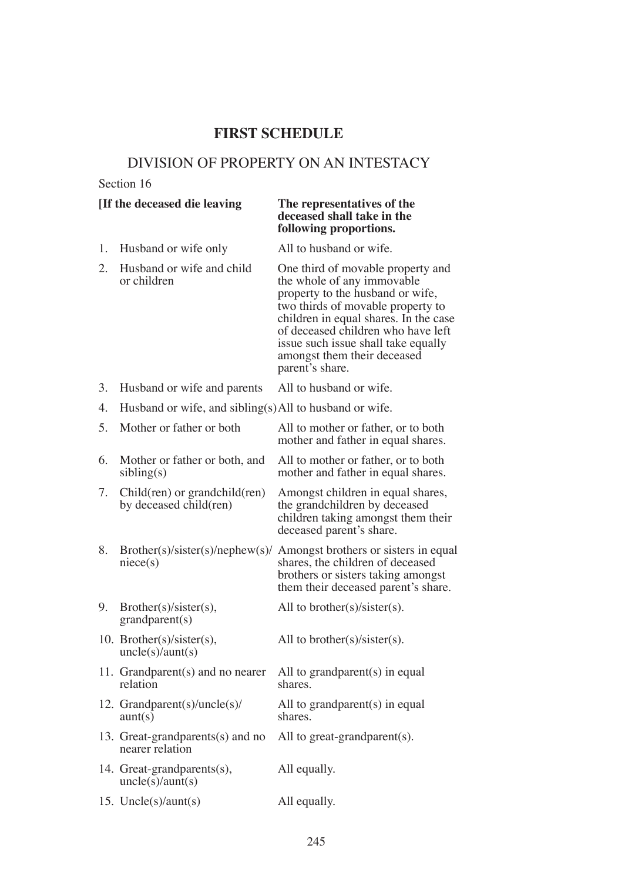### **first SCHEDULE**

### DIVISION OF PROPERTY ON AN INTESTACY

#### Section 16

## **[If the deceased die leaving The representatives of the**

# **deceased shall take in the following proportions.**

1. Husband or wife only All to husband or wife.

- 2. Husband or wife and child One third of movable property and or children the whole of any immovable the whole of any immovable property to the husband or wife, two thirds of movable property to children in equal shares. In the case of deceased children who have left issue such issue shall take equally amongst them their deceased parent's share.
- 3. Husband or wife and parents All to husband or wife.
- 4. Husband or wife, and sibling(s)All to husband or wife.

| 5. | Mother or father or both                                    | All to mother or father, or to both<br>mother and father in equal shares.                                                                             |
|----|-------------------------------------------------------------|-------------------------------------------------------------------------------------------------------------------------------------------------------|
| 6. | Mother or father or both, and<br>sibling(s)                 | All to mother or father, or to both<br>mother and father in equal shares.                                                                             |
| 7. | $Child(ren)$ or grandchild $ren)$<br>by deceased child(ren) | Amongst children in equal shares,<br>the grandchildren by deceased<br>children taking amongst them their<br>deceased parent's share.                  |
| 8. | Brother(s)/sister(s)/nephew(s)/n<br>nice(s)                 | Amongst brothers or sisters in equal<br>shares, the children of deceased<br>brothers or sisters taking amongst<br>them their deceased parent's share. |
| 9. | Brother(s)/sister(s),<br>grandparent(s)                     | All to brother(s)/sister(s).                                                                                                                          |
|    | 10. Brother(s)/sister(s),<br>uncle(s)/aunt(s)               | All to brother(s)/sister(s).                                                                                                                          |
|    | 11. Grandparent(s) and no nearer<br>relation                | All to grand parent $(s)$ in equal<br>shares.                                                                                                         |
|    | 12. Grandparent(s)/uncle(s)/<br>aunt(s)                     | All to grand parent $(s)$ in equal<br>shares.                                                                                                         |
|    | 13. Great-grandparents(s) and no<br>nearer relation         | All to great-grand parent $(s)$ .                                                                                                                     |
|    | 14. Great-grandparents(s),<br>uncle(s)/aunt(s)              | All equally.                                                                                                                                          |
|    | 15. Uncle(s)/aunt(s)                                        | All equally.                                                                                                                                          |